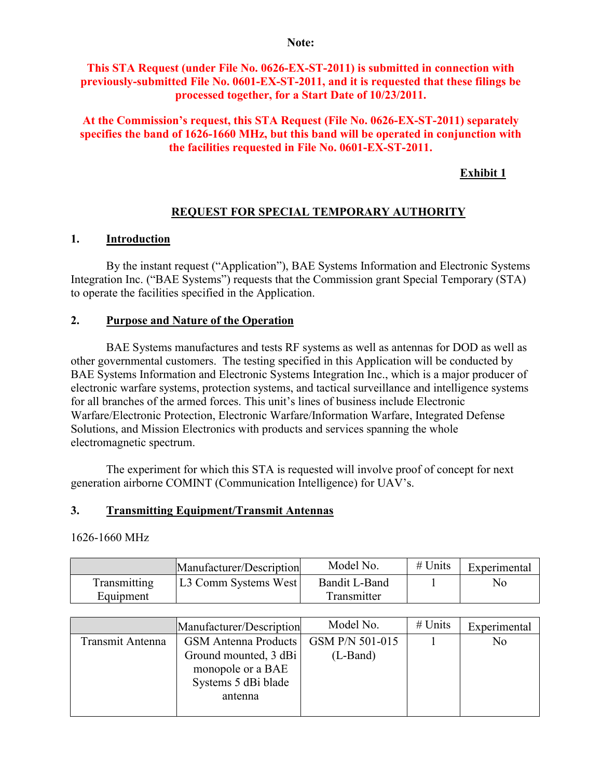#### **Note:**

### **This STA Request (under File No. 0626-EX-ST-2011) is submitted in connection with previously-submitted File No. 0601-EX-ST-2011, and it is requested that these filings be processed together, for a Start Date of 10/23/2011.**

### **At the Commission's request, this STA Request (File No. 0626-EX-ST-2011) separately specifies the band of 1626-1660 MHz, but this band will be operated in conjunction with the facilities requested in File No. 0601-EX-ST-2011.**

# **Exhibit 1**

# **REQUEST FOR SPECIAL TEMPORARY AUTHORITY**

### **1. Introduction**

By the instant request ("Application"), BAE Systems Information and Electronic Systems Integration Inc. ("BAE Systems") requests that the Commission grant Special Temporary (STA) to operate the facilities specified in the Application.

### **2. Purpose and Nature of the Operation**

BAE Systems manufactures and tests RF systems as well as antennas for DOD as well as other governmental customers. The testing specified in this Application will be conducted by BAE Systems Information and Electronic Systems Integration Inc., which is a major producer of electronic warfare systems, protection systems, and tactical surveillance and intelligence systems for all branches of the armed forces. This unit's lines of business include Electronic Warfare/Electronic Protection, Electronic Warfare/Information Warfare, Integrated Defense Solutions, and Mission Electronics with products and services spanning the whole electromagnetic spectrum.

The experiment for which this STA is requested will involve proof of concept for next generation airborne COMINT (Communication Intelligence) for UAV's.

### **3. Transmitting Equipment/Transmit Antennas**

### 1626-1660 MHz

|              | Manufacturer/Description | Model No.     | $#$ Units | Experimental   |
|--------------|--------------------------|---------------|-----------|----------------|
| Transmitting | L3 Comm Systems West     | Bandit L-Band |           | N <sub>0</sub> |
| Equipment    |                          | Transmitter   |           |                |

|                  | Manufacturer/Description    | Model No.       | $#$ Units | Experimental   |
|------------------|-----------------------------|-----------------|-----------|----------------|
| Transmit Antenna | <b>GSM</b> Antenna Products | GSM P/N 501-015 |           | N <sub>0</sub> |
|                  | Ground mounted, 3 dBi       | (L-Band)        |           |                |
|                  | monopole or a BAE           |                 |           |                |
|                  | Systems 5 dBi blade         |                 |           |                |
|                  | antenna                     |                 |           |                |
|                  |                             |                 |           |                |